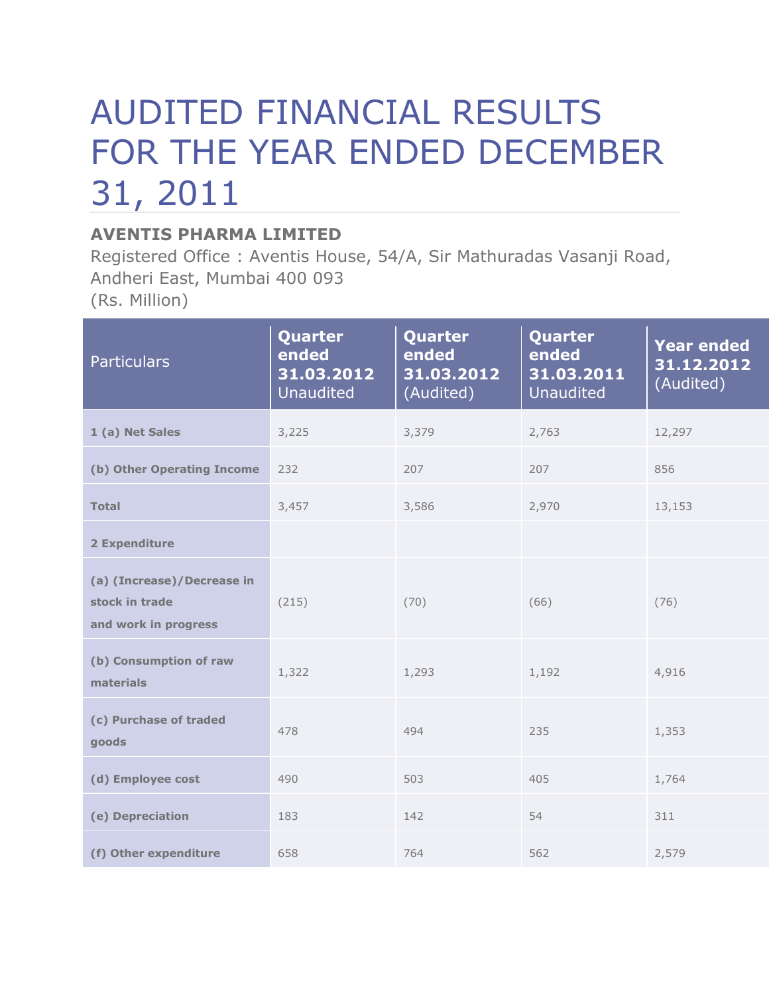## AUDITED FINANCIAL RESULTS FOR THE YEAR ENDED DECEMBER 31, 2011

## **AVENTIS PHARMA LIMITED**

Registered Office : Aventis House, 54/A, Sir Mathuradas Vasanji Road, Andheri East, Mumbai 400 093 (Rs. Million)

| <b>Particulars</b>                                                   | Quarter<br>ended<br>31.03.2012<br><b>Unaudited</b> | Quarter<br>ended<br>31.03.2012<br>(Audited) | Quarter<br>ended<br>31.03.2011<br><b>Unaudited</b> | <b>Year ended</b><br>31.12.2012<br>(Audited) |
|----------------------------------------------------------------------|----------------------------------------------------|---------------------------------------------|----------------------------------------------------|----------------------------------------------|
| 1 (a) Net Sales                                                      | 3,225                                              | 3,379                                       | 2,763                                              | 12,297                                       |
| (b) Other Operating Income                                           | 232                                                | 207                                         | 207                                                | 856                                          |
| <b>Total</b>                                                         | 3,457                                              | 3,586                                       | 2,970                                              | 13,153                                       |
| 2 Expenditure                                                        |                                                    |                                             |                                                    |                                              |
| (a) (Increase)/Decrease in<br>stock in trade<br>and work in progress | (215)                                              | (70)                                        | (66)                                               | (76)                                         |
| (b) Consumption of raw<br>materials                                  | 1,322                                              | 1,293                                       | 1,192                                              | 4,916                                        |
| (c) Purchase of traded<br>goods                                      | 478                                                | 494                                         | 235                                                | 1,353                                        |
| (d) Employee cost                                                    | 490                                                | 503                                         | 405                                                | 1,764                                        |
| (e) Depreciation                                                     | 183                                                | 142                                         | 54                                                 | 311                                          |
| (f) Other expenditure                                                | 658                                                | 764                                         | 562                                                | 2,579                                        |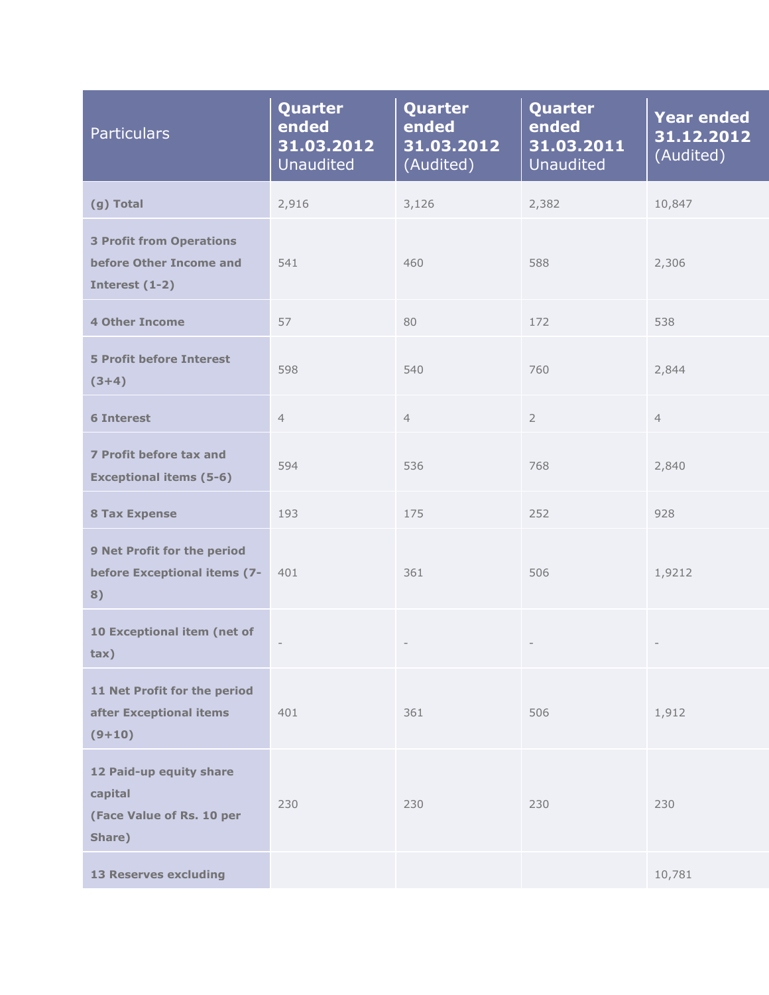| <b>Particulars</b>                                                           | Quarter<br>ended<br>31.03.2012<br><b>Unaudited</b> | Quarter<br>ended<br>31.03.2012<br>(Audited) | Quarter<br>ended<br>31.03.2011<br><b>Unaudited</b> | <b>Year ended</b><br>31.12.2012<br>(Audited) |
|------------------------------------------------------------------------------|----------------------------------------------------|---------------------------------------------|----------------------------------------------------|----------------------------------------------|
| (g) Total                                                                    | 2,916                                              | 3,126                                       | 2,382                                              | 10,847                                       |
| <b>3 Profit from Operations</b><br>before Other Income and<br>Interest (1-2) | 541                                                | 460                                         | 588                                                | 2,306                                        |
| <b>4 Other Income</b>                                                        | 57                                                 | 80                                          | 172                                                | 538                                          |
| <b>5 Profit before Interest</b><br>$(3+4)$                                   | 598                                                | 540                                         | 760                                                | 2,844                                        |
| <b>6 Interest</b>                                                            | $\overline{4}$                                     | $\overline{4}$                              | $\overline{2}$                                     | $\overline{4}$                               |
| 7 Profit before tax and<br><b>Exceptional items (5-6)</b>                    | 594                                                | 536                                         | 768                                                | 2,840                                        |
| <b>8 Tax Expense</b>                                                         | 193                                                | 175                                         | 252                                                | 928                                          |
| 9 Net Profit for the period<br>before Exceptional items (7-<br>8)            | 401                                                | 361                                         | 506                                                | 1,9212                                       |
| 10 Exceptional item (net of<br>tax)                                          | $\overline{\phantom{a}}$                           |                                             |                                                    |                                              |
| 11 Net Profit for the period<br>after Exceptional items<br>$(9+10)$          | 401                                                | 361                                         | 506                                                | 1,912                                        |
| 12 Paid-up equity share<br>capital<br>(Face Value of Rs. 10 per<br>Share)    | 230                                                | 230                                         | 230                                                | 230                                          |
| <b>13 Reserves excluding</b>                                                 |                                                    |                                             |                                                    | 10,781                                       |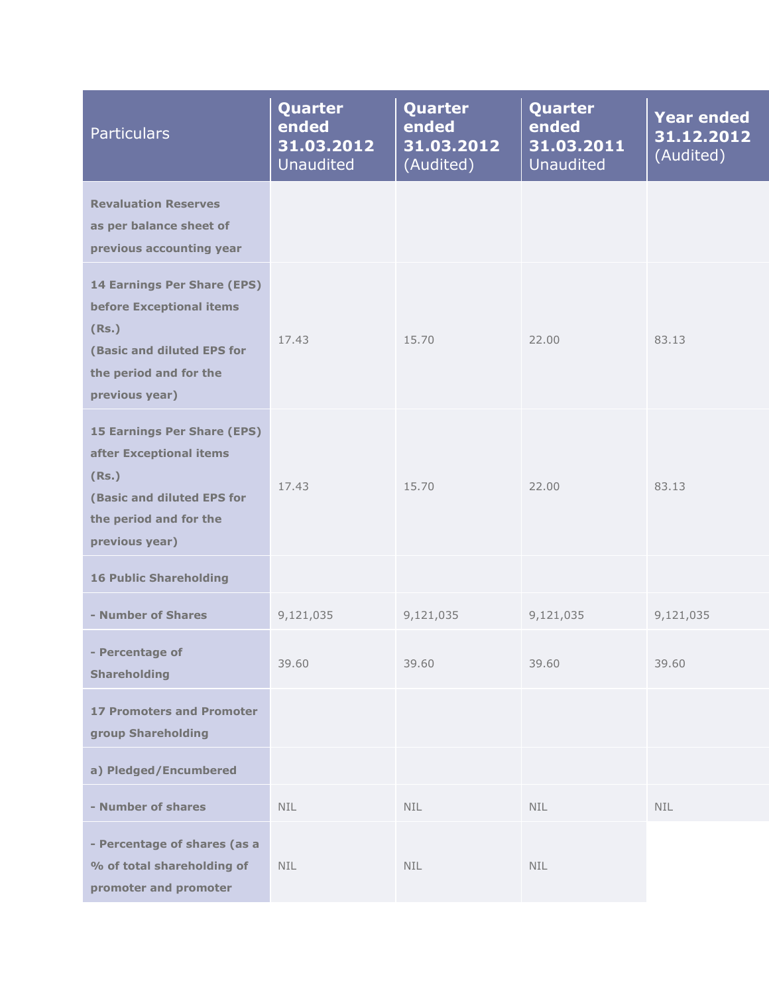| <b>Particulars</b>                                                                                                                               | Quarter<br>ended<br>31.03.2012<br><b>Unaudited</b> | Quarter<br>ended<br>31.03.2012<br>(Audited) | Quarter<br>ended<br>31.03.2011<br><b>Unaudited</b> | <b>Year ended</b><br>31.12.2012<br>(Audited) |
|--------------------------------------------------------------------------------------------------------------------------------------------------|----------------------------------------------------|---------------------------------------------|----------------------------------------------------|----------------------------------------------|
| <b>Revaluation Reserves</b><br>as per balance sheet of<br>previous accounting year                                                               |                                                    |                                             |                                                    |                                              |
| 14 Earnings Per Share (EPS)<br>before Exceptional items<br>(Rs.)<br>(Basic and diluted EPS for<br>the period and for the<br>previous year)       | 17.43                                              | 15.70                                       | 22.00                                              | 83.13                                        |
| <b>15 Earnings Per Share (EPS)</b><br>after Exceptional items<br>(Rs.)<br>(Basic and diluted EPS for<br>the period and for the<br>previous year) | 17.43                                              | 15.70                                       | 22.00                                              | 83.13                                        |
| <b>16 Public Shareholding</b>                                                                                                                    |                                                    |                                             |                                                    |                                              |
| - Number of Shares                                                                                                                               | 9,121,035                                          | 9,121,035                                   | 9,121,035                                          | 9,121,035                                    |
| - Percentage of<br><b>Shareholding</b>                                                                                                           | 39.60                                              | 39.60                                       | 39.60                                              | 39.60                                        |
| <b>17 Promoters and Promoter</b><br>group Shareholding                                                                                           |                                                    |                                             |                                                    |                                              |
| a) Pledged/Encumbered                                                                                                                            |                                                    |                                             |                                                    |                                              |
| - Number of shares                                                                                                                               | <b>NIL</b>                                         | <b>NIL</b>                                  | <b>NIL</b>                                         | <b>NIL</b>                                   |
| - Percentage of shares (as a<br>% of total shareholding of<br>promoter and promoter                                                              | <b>NIL</b>                                         | NIL.<br><b>NIL</b>                          |                                                    |                                              |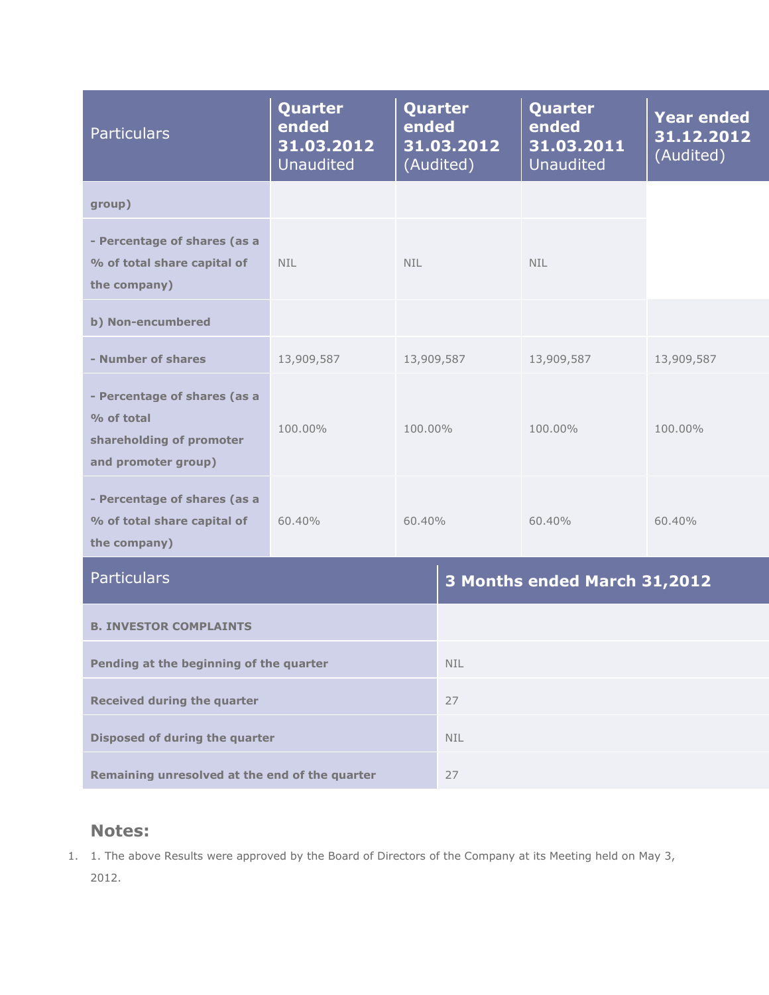| <b>Particulars</b>                                                                            | Quarter<br>ended<br>31.03.2012<br>Unaudited | Quarter<br>ended<br>31.03.2012<br>(Audited) |            | Quarter<br>ended<br>31.03.2011<br><b>Unaudited</b> | <b>Year ended</b><br>31.12.2012<br>(Audited) |
|-----------------------------------------------------------------------------------------------|---------------------------------------------|---------------------------------------------|------------|----------------------------------------------------|----------------------------------------------|
| group)                                                                                        |                                             |                                             |            |                                                    |                                              |
| - Percentage of shares (as a<br>% of total share capital of<br>the company)                   | <b>NIL</b>                                  | NIL.                                        |            | <b>NIL</b>                                         |                                              |
| b) Non-encumbered                                                                             |                                             |                                             |            |                                                    |                                              |
| - Number of shares                                                                            | 13,909,587                                  | 13,909,587                                  |            | 13,909,587                                         | 13,909,587                                   |
| - Percentage of shares (as a<br>% of total<br>shareholding of promoter<br>and promoter group) | 100.00%                                     | 100.00%                                     |            | 100.00%                                            | 100.00%                                      |
| - Percentage of shares (as a<br>% of total share capital of<br>the company)                   | 60.40%                                      | $60.40\%$                                   |            | 60.40%                                             | 60.40%                                       |
| <b>Particulars</b>                                                                            |                                             |                                             |            | 3 Months ended March 31,2012                       |                                              |
| <b>B. INVESTOR COMPLAINTS</b>                                                                 |                                             |                                             |            |                                                    |                                              |
| Pending at the beginning of the quarter                                                       |                                             |                                             | <b>NIL</b> |                                                    |                                              |
| <b>Received during the quarter</b>                                                            |                                             |                                             | 27         |                                                    |                                              |
| Disposed of during the quarter                                                                |                                             |                                             | <b>NIL</b> |                                                    |                                              |
| Remaining unresolved at the end of the quarter                                                |                                             |                                             | 27         |                                                    |                                              |

## **Notes:**

1. 1. The above Results were approved by the Board of Directors of the Company at its Meeting held on May 3, 2012.